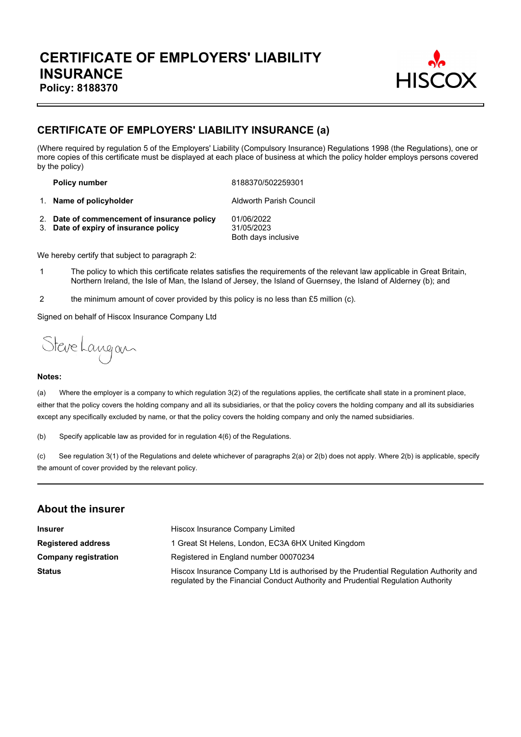

## **CERTIFICATE OF EMPLOYERS' LIABILITY INSURANCE (a)**

(Where required by regulation 5 of the Employers' Liability (Compulsory Insurance) Regulations 1998 (the Regulations), one or more copies of this certificate must be displayed at each place of business at which the policy holder employs persons covered by the policy)

**Policy number** 8188370/502259301

1. **Name of policyholder Aldworth Parish Council** 

2. **Date of commencement of insurance policy** 01/06/2022 3. **Date of expiry of insurance policy** 31/05/2023 Both days inclusive

We hereby certify that subject to paragraph 2:

- 1 The policy to which this certificate relates satisfies the requirements of the relevant law applicable in Great Britain, Northern Ireland, the Isle of Man, the Island of Jersey, the Island of Guernsey, the Island of Alderney (b); and
- 2 the minimum amount of cover provided by this policy is no less than £5 million (c).

Signed on behalf of Hiscox Insurance Company Ltd

Steve Langan

#### **Notes:**

(a) Where the employer is a company to which regulation 3(2) of the regulations applies, the certificate shall state in a prominent place, either that the policy covers the holding company and all its subsidiaries, or that the policy covers the holding company and all its subsidiaries except any specifically excluded by name, or that the policy covers the holding company and only the named subsidiaries.

(b) Specify applicable law as provided for in regulation 4(6) of the Regulations.

(c) See regulation 3(1) of the Regulations and delete whichever of paragraphs 2(a) or 2(b) does not apply. Where 2(b) is applicable, specify the amount of cover provided by the relevant policy.

#### **About the insurer**

| <b>Insurer</b>              | Hiscox Insurance Company Limited                                                                                                                                          |  |  |
|-----------------------------|---------------------------------------------------------------------------------------------------------------------------------------------------------------------------|--|--|
| <b>Registered address</b>   | 1 Great St Helens, London, EC3A 6HX United Kingdom                                                                                                                        |  |  |
| <b>Company registration</b> | Registered in England number 00070234                                                                                                                                     |  |  |
| <b>Status</b>               | Hiscox Insurance Company Ltd is authorised by the Prudential Regulation Authority and<br>regulated by the Financial Conduct Authority and Prudential Regulation Authority |  |  |